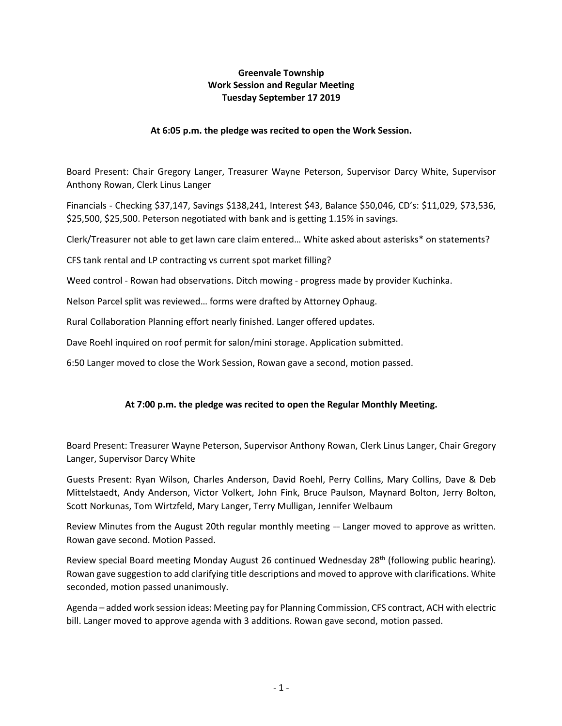## **Greenvale Township Work Session and Regular Meeting Tuesday September 17 2019**

## **At 6:05 p.m. the pledge was recited to open the Work Session.**

Board Present: Chair Gregory Langer, Treasurer Wayne Peterson, Supervisor Darcy White, Supervisor Anthony Rowan, Clerk Linus Langer

Financials - Checking \$37,147, Savings \$138,241, Interest \$43, Balance \$50,046, CD's: \$11,029, \$73,536, \$25,500, \$25,500. Peterson negotiated with bank and is getting 1.15% in savings.

Clerk/Treasurer not able to get lawn care claim entered… White asked about asterisks\* on statements?

CFS tank rental and LP contracting vs current spot market filling?

Weed control - Rowan had observations. Ditch mowing - progress made by provider Kuchinka.

Nelson Parcel split was reviewed… forms were drafted by Attorney Ophaug.

Rural Collaboration Planning effort nearly finished. Langer offered updates.

Dave Roehl inquired on roof permit for salon/mini storage. Application submitted.

6:50 Langer moved to close the Work Session, Rowan gave a second, motion passed.

## **At 7:00 p.m. the pledge was recited to open the Regular Monthly Meeting.**

Board Present: Treasurer Wayne Peterson, Supervisor Anthony Rowan, Clerk Linus Langer, Chair Gregory Langer, Supervisor Darcy White

Guests Present: Ryan Wilson, Charles Anderson, David Roehl, Perry Collins, Mary Collins, Dave & Deb Mittelstaedt, Andy Anderson, Victor Volkert, John Fink, Bruce Paulson, Maynard Bolton, Jerry Bolton, Scott Norkunas, Tom Wirtzfeld, Mary Langer, Terry Mulligan, Jennifer Welbaum

Review Minutes from the August 20th regular monthly meeting  $-$  Langer moved to approve as written. Rowan gave second. Motion Passed.

Review special Board meeting Monday August 26 continued Wednesday 28<sup>th</sup> (following public hearing). Rowan gave suggestion to add clarifying title descriptions and moved to approve with clarifications. White seconded, motion passed unanimously.

Agenda – added work session ideas: Meeting pay for Planning Commission, CFS contract, ACH with electric bill. Langer moved to approve agenda with 3 additions. Rowan gave second, motion passed.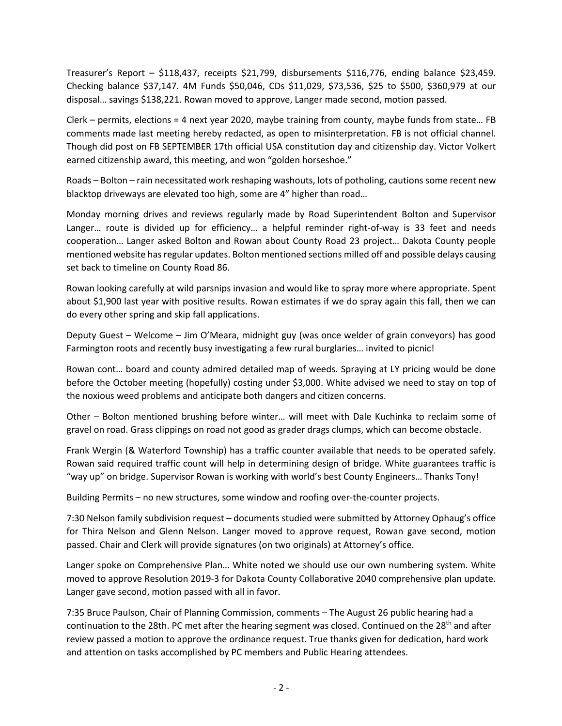Treasurer's Report – \$118,437, receipts \$21,799, disbursements \$116,776, ending balance \$23,459. Checking balance \$37,147. 4M Funds \$50,046, CDs \$11,029, \$73,536, \$25 to \$500, \$360,979 at our disposal… savings \$138,221. Rowan moved to approve, Langer made second, motion passed.

Clerk – permits, elections = 4 next year 2020, maybe training from county, maybe funds from state… FB comments made last meeting hereby redacted, as open to misinterpretation. FB is not official channel. Though did post on FB SEPTEMBER 17th official USA constitution day and citizenship day. Victor Volkert earned citizenship award, this meeting, and won "golden horseshoe."

Roads – Bolton – rain necessitated work reshaping washouts, lots of potholing, cautions some recent new blacktop driveways are elevated too high, some are 4" higher than road…

Monday morning drives and reviews regularly made by Road Superintendent Bolton and Supervisor Langer… route is divided up for efficiency… a helpful reminder right-of-way is 33 feet and needs cooperation… Langer asked Bolton and Rowan about County Road 23 project… Dakota County people mentioned website has regular updates. Bolton mentioned sections milled off and possible delays causing set back to timeline on County Road 86.

Rowan looking carefully at wild parsnips invasion and would like to spray more where appropriate. Spent about \$1,900 last year with positive results. Rowan estimates if we do spray again this fall, then we can do every other spring and skip fall applications.

Deputy Guest – Welcome – Jim O'Meara, midnight guy (was once welder of grain conveyors) has good Farmington roots and recently busy investigating a few rural burglaries… invited to picnic!

Rowan cont… board and county admired detailed map of weeds. Spraying at LY pricing would be done before the October meeting (hopefully) costing under \$3,000. White advised we need to stay on top of the noxious weed problems and anticipate both dangers and citizen concerns.

Other – Bolton mentioned brushing before winter… will meet with Dale Kuchinka to reclaim some of gravel on road. Grass clippings on road not good as grader drags clumps, which can become obstacle.

Frank Wergin (& Waterford Township) has a traffic counter available that needs to be operated safely. Rowan said required traffic count will help in determining design of bridge. White guarantees traffic is "way up" on bridge. Supervisor Rowan is working with world's best County Engineers… Thanks Tony!

Building Permits – no new structures, some window and roofing over-the-counter projects.

7:30 Nelson family subdivision request – documents studied were submitted by Attorney Ophaug's office for Thira Nelson and Glenn Nelson. Langer moved to approve request, Rowan gave second, motion passed. Chair and Clerk will provide signatures (on two originals) at Attorney's office.

Langer spoke on Comprehensive Plan… White noted we should use our own numbering system. White moved to approve Resolution 2019-3 for Dakota County Collaborative 2040 comprehensive plan update. Langer gave second, motion passed with all in favor.

7:35 Bruce Paulson, Chair of Planning Commission, comments – The August 26 public hearing had a continuation to the 28th. PC met after the hearing segment was closed. Continued on the 28<sup>th</sup> and after review passed a motion to approve the ordinance request. True thanks given for dedication, hard work and attention on tasks accomplished by PC members and Public Hearing attendees.